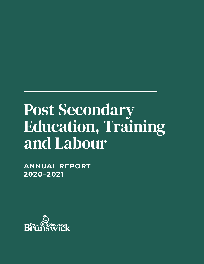# Post-Secondary Education, Training and Labour

**ANNUAL REPORT 2020–2021**

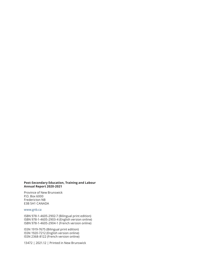#### **Post-Secondary Education, Training and Labour Annual Report 2020-2021**

Province of New Brunswick P.O. Box 6000 Fredericton NB E3B 5H1 CANADA

#### www.gnb.ca

ISBN 978-1-4605-2902-7 (Bilingual print edition) ISBN 978-1-4605-2903-4 (English version online) ISBN 978-1-4605-2904-1 (French version online)

ISSN 1919-7675 (Bilingual print edition) ISSN 1920-7212 (English version online) ISSN 2368-8122 (French version online)

13472 | 2021.12 | Printed in New Brunswick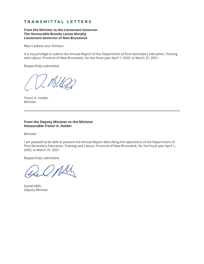## **TRANSMITTAL LETTERS**

**From the Minister to the Lieutenant-Governor The Honourable Brenda Louise Murphy Lieutenant-Governor of New Brunswick**

May it please your Honour:

It is my privilege to submit the Annual Report of the Department of Post-Secondary Education, Training and Labour, Province of New Brunswick, for the fiscal year April 1, 2020, to March 31, 2021.

Respectfully submitted,

Trevor A. Holder Minister

#### **From the Deputy Minister to the Minister Honourable Trevor A. Holder**

Minister:

I am pleased to be able to present the Annual Report describing the operations of the Department of Post-Secondary Education, Training and Labour, Province of New Brunswick, for the fiscal year April 1, 2020, to March 31, 2021.

Respectfully submitted,

Daniel Mills Deputy Minister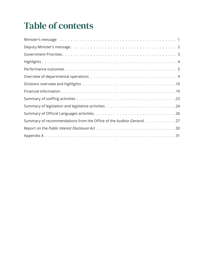## Table of contents

| Summary of recommendations from the Office of the Auditor General 27 |
|----------------------------------------------------------------------|
|                                                                      |
|                                                                      |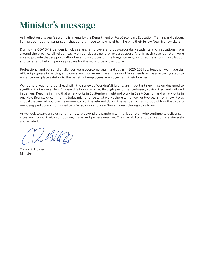## <span id="page-4-0"></span>Minister's message

As I reflect on this year's accomplishments by the Department of Post-Secondary Education, Training and Labour, I am proud – but not surprised – that our staff rose to new heights in helping their fellow New Brunswickers.

During the COVID-19 pandemic, job seekers, employers and post-secondary students and institutions from around the province all relied heavily on our department for extra support. And, in each case, our staff were able to provide that support without ever losing focus on the longer-term goals of addressing chronic labour shortages and helping people prepare for the workforce of the future.

Professional and personal challenges were overcome again and again in 2020-2021 as, together, we made significant progress in helping employers and job seekers meet their workforce needs, while also taking steps to enhance workplace safety – to the benefit of employees, employers and their families.

We found a way to forge ahead with the renewed WorkingNB brand, an important new mission designed to significantly improve New Brunswick's labour market through performance-based, customized and tailored initiatives. Keeping in mind that what works in St. Stephen might not work in Saint-Quentin and what works in one New Brunswick community today might not be what works there tomorrow, or two years from now, it was critical that we did not lose the momentum of the rebrand during the pandemic. I am proud of how the department stepped up and continued to offer solutions to New Brunswickers through this branch.

As we look toward an even brighter future beyond the pandemic, I thank our staff who continue to deliver services and support with composure, grace and professionalism. Their reliability and dedication are sincerely appreciated.

Trevor A. Holder Minister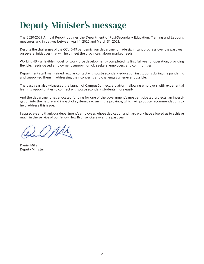## <span id="page-5-0"></span>Deputy Minister's message

The 2020-2021 Annual Report outlines the Department of Post-Secondary Education, Training and Labour's measures and initiatives between April 1, 2020 and March 31, 2021.

Despite the challenges of the COVID-19 pandemic, our department made significant progress over the past year on several initiatives that will help meet the province's labour market needs.

WorkingNB – a flexible model for workforce development – completed its first full year of operation, providing flexible, needs-based employment support for job seekers, employers and communities.

Department staff maintained regular contact with post-secondary education institutions during the pandemic and supported them in addressing their concerns and challenges whenever possible.

The past year also witnessed the launch of CampusConnect, a platform allowing employers with experiential learning opportunities to connect with post-secondary students more easily.

And the department has allocated funding for one of the government's most-anticipated projects: an investigation into the nature and impact of systemic racism in the province, which will produce recommendations to help address this issue.

I appreciate and thank our department's employees whose dedication and hard work have allowed us to achieve much in the service of our fellow New Brunswickers over the past year.

Opli

Daniel Mills Deputy Minister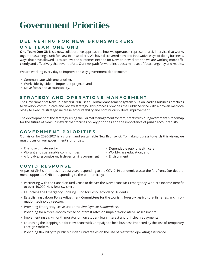## <span id="page-6-0"></span>Government Priorities

## **D E L I V E R I N G F O R N E W B R U N S W I C K E R S –**

## **ONE TEAM ONE GNB**

**One Team One GNB** is a new, collaborative approach to how we operate. It represents a civil service that works together as a single unit for New Brunswickers. We have discovered new and innovative ways of doing business, ways that have allowed us to achieve the outcomes needed for New Brunswickers and we are working more efficiently and effectively than ever before. Our new path forward includes a mindset of focus, urgency and results.

We are working every day to improve the way government departments:

- Communicate with one another,
- Work side-by-side on important projects, and
- Drive focus and accountability.

## **STRATEGY AND OPERATIONS MANAGEMENT**

The Government of New Brunswick (GNB) uses a Formal Management system built on leading business practices to develop, communicate and review strategy. This process provides the Public Service with a proven methodology to execute strategy, increase accountability and continuously drive improvement.

The development of the strategy, using the Formal Management system, starts with our government's roadmap for the future of New Brunswick that focuses on key priorities and the importance of public accountability.

## **GOVERNMENT PRIORITIES**

Our vision for 2020-2021 is a vibrant and sustainable New Brunswick. To make progress towards this vision, we must focus on our government's priorities.

- Energize private sector
- Vibrant and sustainable communities
- Affordable, responsive and high-performing government
- Dependable public health care • World-class education, and
	-
- Environment

## **COVID RESPONSE**

As part of GNB's priorities this past year, responding to the COVID-19 pandemic was at the forefront. Our department supported GNB in responding to the pandemic by:

- Partnering with the Canadian Red Cross to deliver the New Brunswick Emergency Workers Income Benefit to over 40,000 New Brunswickers
- Launching the Emergency Bridging Fund for Post-Secondary Students
- Establishing Labour Force Adjustment Committees for the tourism, forestry, agriculture, fisheries, and information technology sectors
- Providing Emergency Leave under the *Employment Standards Act*
- Providing for a three-month freeze of interest rates on unpaid WorkSafeNB assessments
- Implementing a six-month moratorium on student loan interest and principal repayments
- Launching the Stepping Up for New Brunswick Campaign to help business impacted by the loss of Temporary Foreign Workers
- Providing flexibility to publicly funded universities on the use of restricted operating assistance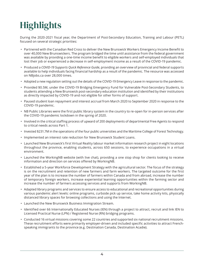## <span id="page-7-0"></span>**Highlights**

During the 2020-2021 fiscal year, the Department of Post-Secondary Education, Training and Labour (PETL) focused on several strategic priorities:

- Partnered with the Canadian Red Cross to deliver the New Brunswick Workers Emergency Income Benefit to over 40,000 New Brunswickers. The program bridged the time until assistance from the federal government was available by providing a one-time income benefit to eligible workers and self-employed individuals that lost their job or experienced a decrease in self-employment income as a result of the COVID-19 pandemic.
- Produced a *COVID-19 Supports Quick Reference Guide*, providing an overview of provincial and federal supports available to help individuals facing financial hardship as a result of the pandemic. The resource was accessed on NBjobs.ca over 28,000 times.
- Adopted a new regulation setting out the details of the COVID-19 Emergency Leave in response to the pandemic.
- Provided \$0.5M, under the COVID-19 Bridging Emergency Fund for Vulnerable Post-Secondary Students, to students attending a New Brunswick post-secondary education institution and identified by their institutions as directly impacted by COVID-19 and not eligible for other forms of support.
- Paused student loan repayment and interest accrual from March 2020 to September 2020 in response to the COVID-19 pandemic.
- NB Public Libraries were the first public library system in the country to re-open for in-person services after the COVID-19 pandemic lockdown in the spring of 2020.
- Involved in the critical staffing process of upward of 200 deployments of departmental Free Agents to respond to critical needs across Part 1.
- Invested \$231.7M in the operations of the four public universities and the Maritime College of Forest Technology.
- Implemented an interest rate reduction for New Brunswick Student Loans.
- Launched New Brunswick's first Virtual Reality labour market information research project in eight locations throughout the province, enabling students, across 650 sessions, to experience occupations in a virtual environment.
- Launched the WorkingNB website (with live chat), providing a one stop shop for clients looking to receive information and direction on services offered by WorkingNB.
- Established a 5-year Workforce Development Strategy with the agricultural sector. The focus of the strategy is on the recruitment and retention of new farmers and farm workers. The targeted outcome for the first year of the plan is to increase the number of farmers within Canada and from abroad, increase the number of temporary foreign workers, increase experiential learning opportunities within the farming sector and increase the number of farmers accessing services and supports from WorkingNB.
- Adapted library programs and services to ensure access to educational and recreational opportunities during various pandemic alert levels: online programs, curbside pick up service, take home activity kits, physically distanced library spaces for browsing collections and using the Internet.
- Launched the New Brunswick Business Immigration Stream.
- Identified over 66 Internationally Educated Nurses (IEN) through a project to attract, recruit and link IEN to Licensed Practical Nurse (LPN) / Registered Nurse (RN) bridging programs.
- Conducted 16 virtual missions covering some 22 countries and supported six national recruitment missions. These recruitment efforts were primarily employer-driven and included specific activities to attract Frenchspeaking immigrants to the province (e.g. Destination Canada, Destination Acadie).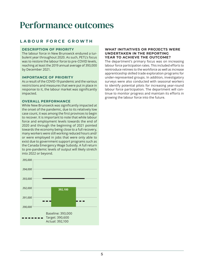## <span id="page-8-0"></span>Performance outcomes

## **LABOUR FORCE GROWTH**

#### **DESCRIPTION OF PRIORITY**

The labour force in New Brunswick endured a turbulent year throughout 2020. As such, PETL's focus was to restore the labour force to pre-COVID levels, reaching at least the 2019 annual average of 393,000 by December 2021.

#### **IMPORTANCE OF PRIORITY**

As a result of the COVID-19 pandemic and the various restrictions and measures that were put in place in response to it, the labour market was significantly impacted.

#### **OVERALL PERFORMANCE**

While New Brunswick was significantly impacted at the onset of the pandemic, due to its relatively low case count, it was among the first provinces to begin to recover. It is important to note that while labour force and employment levels towards the end of 2020 and through the beginning of 2021 pointed towards the economy being close to a full recovery, many workers were still working reduced hours and/ or were employed in jobs that were only able to exist due to government support programs such as the Canada Emergency Wage Subsidy. A full return to pre-pandemic levels of output will likely stretch into 2022 or beyond.



#### **WHAT INITIATIVES OR PROJECTS WERE UNDERTAKEN IN THE REPORTING YEAR TO ACHIEVE THE OUTCOME?**

The department's primary focus was on increasing labour force participation rates. This included efforts to reintroduce retirees to the workforce as well as increase apprenticeship skilled trade exploration programs for under-represented groups. In addition, investigatory surveys were also conducted with seasonal workers to identify potential pilots for increasing year-round labour force participation. The department will continue to monitor progress and maintain its efforts in growing the labour force into the future.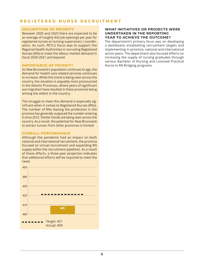## **REGISTERED NURSE RECRUITMENT**

#### **DESCRIPTION OF PRIORITY**

Between 2020 and 2029 there are expected to be an average of roughly 442 job openings per year for registered nurses or nursing supervisors / coordinators. As such, PETL's focus was to support the Regional Health Authorities in recruiting Registered Nurses (RN) to meet the labour market demand in fiscal 2020-2021 and beyond.

#### **IMPORTANCE OF PRIORITY**

As New Brunswick's population continues to age, the demand for health care related services continues to increase. While this trend is being seen across the country, the situation is arguably most pronounced in the Atlantic Provinces, where years of significant out-migration have resulted in these provinces being among the oldest in the country.

The struggle to meet this demand is especially significant when it comes to Registered Nurses (RNs). The number of RNs leaving the profession in the province has generally outpaced the number entering it since 2012. Similar trends are being seen across the country. As a result, the potential for New Brunswick to attract nurses from other provinces is limited.

#### **OVERALL PERFORMANCE**

Although the pandemic had an impact on both national and international recruitment, the province focused on virtual recruitment and expanding RN supply within the recruitment pipelines. As a result of those efforts, a three-year projection indicates that additional efforts will be required to meet the need.



#### **WHAT INITIATIVES OR PROJECTS WERE UNDERTAKEN IN THE REPORTING YEAR TO ACHIEVE THE OUTCOME?**

The department's primary focus was on developing a dashboard, establishing recruitment targets and implementing in-province, national and international action plans. The department also focused efforts on increasing the supply of nursing graduates through various Bachelor of Nursing and Licensed Practical Nurse to RN Bridging programs.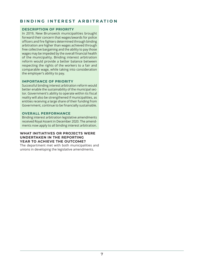## **BINDING INTEREST ARBITRATION**

#### **DESCRIPTION OF PRIORITY**

In 2019, New Brunswick municipalities brought forward their concern that wages/awards for police officers and fire fighters determined through binding arbitration are higher than wages achieved through free collective bargaining and the ability to pay those wages may be impeded by the overall financial health of the municipality. Binding interest arbitration reform would provide a better balance between respecting the rights of the workers to a fair and comparable wage, while taking into consideration the employer's ability to pay.

### **IMPORTANCE OF PRIORITY**

Successful binding interest arbitration reform would better enable the sustainability of the municipal sector. Government's ability to operate within its fiscal reality will also be strengthened if municipalities, as entities receiving a large share of their funding from Government, continue to be financially sustainable.

#### **OVERALL PERFORMANCE**

Binding interest arbitration legislative amendments received Royal Assent in December 2020. The amendments now apply to all binding interest arbitration.

#### **WHAT INITIATIVES OR PROJECTS WERE UNDERTAKEN IN THE REPORTING YEAR TO ACHIEVE THE OUTCOME?**

The department met with both municipalities and unions in developing the legislative amendments.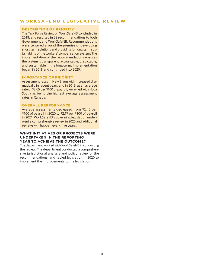## **WORKSAFENB LEGISLATIVE REVIEW**

#### **DESCRIPTION OF PRIORITY**

The Task Force Review on WorkSafeNB concluded in 2018, and resulted in 28 recommendations to both Government and WorkSafeNB. Recommendations were centered around the premise of developing short-term solutions and providing for long-term sustainability of the workers' compensation system. The implementation of the recommendations ensures the system is transparent, accountable, predictable, and sustainable in the long-term. Implementation began in 2018 and continued into 2020.

#### **IMPORTANCE OF PRIORITY**

Assessment rates in New Brunswick increased dramatically in recent years and in 2019, at an average rate of \$2.65 per \$100 of payroll, were tied with Nova Scotia as being the highest average assessment rates in Canada.

#### **OVERALL PERFORMANCE**

Average assessments decreased from \$2.40 per \$100 of payroll in 2020 to \$2.17 per \$100 of payroll in 2021. WorkSafeNB's governing legislation underwent a comprehensive review in 2020 and additional reviews will happen every five years.

#### **WHAT INITIATIVES OR PROJECTS WERE UNDERTAKEN IN THE REPORTING YEAR TO ACHIEVE THE OUTCOME?**

The department worked with WorkSafeNB in conducting the review. The department conducted a comprehensive jurisdictional analysis and policy review of the recommendations, and tabled legislation in 2020 to implement the improvements to the legislation.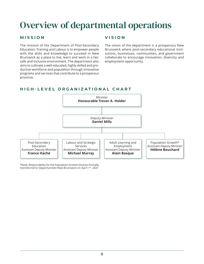## <span id="page-12-0"></span>Overview of departmental operations

## **MISSION**

The mission of the Department of Post-Secondary Education, Training and Labour is to empower people with the skills and knowledge to succeed in New Brunswick as a place to live, learn and work in a fair, safe and inclusive environment. The department also aims to cultivate a well-educated, highly skilled and productive workforce and population through innovative programs and services that contribute to a prosperous province.

## **VISION**

The vision of the department is a prosperous New Brunswick where post-secondary educational institutions, businesses, communities, and government collaborate to encourage innovation, diversity and employment opportunity.

## **HIGH-LEVEL ORGANIZATIONAL CHART**



\*Note: Responsibility for the Population Growth Division formally transferred to Opportunities New Brunswick on April 1st, 2021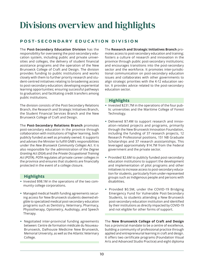## <span id="page-13-0"></span>Divisions overview and highlights

## **POST-SECONDARY EDUCATION DIVISION**

The **Post-Secondary Education Division** has the responsibility for overseeing the post-secondary education system, including public and private universities and colleges, the delivery of student financial assistance programs and the operation of the New Brunswick College of Craft and Design. The division provides funding to public institutions and works closely with them to further priority research and student-centred initiatives relating to broadening access to post-secondary education; developing experiential learning opportunities; ensuring successful pathways to graduation; and facilitating credit transfers among public institutions.

The division consists of the Post-Secondary Relations Branch, the Research and Strategic Initiatives Branch, the Student Financial Services Branch and the New Brunswick College of Craft and Design.

The **Post-Secondary Relations Branch** promotes post-secondary education in the province through collaboration with institutions of higher learning, both publicly funded as well as privately owned. It supports and advises the Minister to fulfill GNB's responsibilities under the *New Brunswick Community Colleges Act*. It is also responsible for the administration of the *Degree Granting Act (DGA*) and the *Private Occupational Training Act (POTA*). *POTA* regulates all private career colleges in the province and ensures that students are financially protected in the event of a college closure.

## **Highlights**

- Invested \$98.1M in the operations of the two community college corporations.
- Managed medical health funding agreements securing access for New Brunswick students deemed eligible to specialized medical post-secondary education programs such as Dentistry, Veterinary, Pharmacy, Physiotherapy, Optometry, Audiology, and Speech Therapy.
- Negotiated inter-provincial funding agreements between: Centre de formation médicale du Nouveau-Brunswick, Dalhousie Medicine New Brunswick, Memorial University, as well as the Atlantic Veterinary College.

The **Research and Strategic Initiatives Branch** promotes access to post-secondary education and training; fosters a culture of research and innovation in the province through public post-secondary institutions; and encourages transitions into the post-secondary sector and the workforce. It promotes inter-jurisdictional communication on post-secondary education issues and collaborates with other governments to align strategic priorities with the K-12 education sector. It provides advice related to the post-secondary education sector.

## **Highlights**

- $\bullet$  Invested \$231.7M in the operations of the four public universities and the Maritime College of Forest Technology.
- Delivered \$7.4M to support research and innovation-related projects and programs, primarily through the New Brunswick Innovation Foundation, including the funding of 37 research projects, 12 Research Professional positions, 151 NB Graduate Scholarships and 37 research assistantships. This leveraged approximately \$14.7M from the Federal government and the private sector.
- Provided \$2.6M to publicly funded post-secondary education institutions to support the development and implementation of pilot programs and other initiatives to increase access to post-secondary education for students, particularly from under-represented groups such as Indigenous people and persons with disabilities.
- Provided \$0.5M, under the COVID-19 Bridging Emergency Fund for Vulnerable Post-Secondary Students, to students attending a New Brunswick post-secondary education institution and identified by their institutions as directly impacted by COVID-19 and not eligible for other forms of support.

The **New Brunswick College of Craft and Design** has a provincial mandate to be a centre of excellence, building a community of professional practice through applied and entrepreneurial learning in craft and design. It offers two certificate programs (Foundation Visual Arts and Advanced Studio Practice) and eight diploma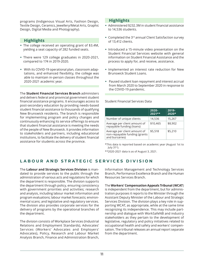programs (Indigenous Visual Arts, Fashion Design, Textile Design, Ceramics, Jewellery/Metal Arts, Graphic Design, Digital Media and Photography).

### **Highlights**

- The college received an operating grant of \$3.4M, yielding a seat capacity of 282 funded seats.
- There were 129 college graduates in 2020-2021, compared to 174 in 2019-2020.
- With its COVID-19 operational plan, classroom adaptations, and enhanced flexibility, the college was able to maintain in-person classes throughout the 2020-2021 academic year.

The **Student Financial Services Branch** administers and delivers federal and provincial government student financial assistance programs. It encourages access to post-secondary education by providing needs-based student financial assistance to thousands of qualifying New Brunswick residents. The branch is responsible for implementing program and policy changes and continuously enhancing its service offerings to ensure that student financial assistance is meeting the needs of the people of New Brunswick. It provides information to stakeholders and partners, including educational institutions, to facilitate the delivery of student financial assistance for students across the province.

## **Highlights**

- Administered \$232.3M in student financial assistance to 14,536 students.
- Completed the 3rd annual Client Satisfaction survey of 13,412 clients.
- Introduced a 15-minute video presentation on the Student Financial Services website with general information on Student Financial Assistance and the process to apply for, and receive, assistance.
- Implemented an interest rate reduction for New Brunswick Student Loans.
- Paused student loan repayment and interest accrual from March 2020 to September 2020 in response to the COVID-19 pandemic.

Student Financial Services Data

|                                                                                 | 2020-<br>2021** | 2019-<br>2020* |
|---------------------------------------------------------------------------------|-----------------|----------------|
| Number of unique clients                                                        | 14,536          | 15,267         |
| Average per client amount of<br>repayable funding (loans)                       | \$10,465        | \$8,902        |
| Average per client amount of<br>non-repayable funding (grants<br>and bursaries) | \$5,518         | \$5,210        |

\*This data is reported based on academic year (August 1st to July  $31<sup>st</sup>$ ).

\*\*2020-2021 data is as of August 3, 2021.

## **LABOUR AND STRATEGIC SERVICES DIVISION**

The **Labour and Strategic Services Division** is mandated to provide services to the public through the administration of various acts and regulations for which the department is responsible. The division supports the department through policy, ensuring consistency with government priorities and activities; research and analysis, including labour market information and program evaluations; labour market forecasts; environmental scans; and legislative and regulatory services. The division also provides corporate services for the delivery of programs by the operational branches of the department.

The division consists of Workplace Services (Industrial Relations and Employment Standards), Advocates' Services (Workers' Advocates and Employers' Advocates), Policy, Research and Labour Market Analysis Branch, Finance and Administration Branch,

Information Management and Technology Services Branch, Performance Excellence Branch and the Human Resources Services Branch.

The **Workers' Compensation Appeals Tribunal (WCAT**) is independent from the department, but for administration purposes it reports to the Minister through the Assistant Deputy Minister of the Labour and Strategic Services Division. The division plays a key role in supporting WCAT, as appropriate, while at the same time recognizing its independence. This may include partnership and dialogue with WorkSafeNB and industry stakeholders as they pertain to the development of legislative, regulatory and policy initiatives related to occupational health and safety and workers' compensation. The tribunal releases an annual report separate from the department.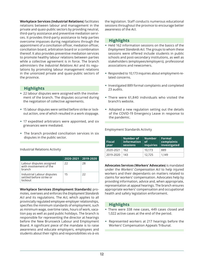**Workplace Services (Industrial Relations**) facilitates relations between labour and management in the private and quasi-public sectors by providing neutral, third-party assistance and preventive mediation services. It provides third-party assistance to help parties overcome impasses during negotiations through the appointment of a conciliation officer, mediation officer, conciliation board, arbitration board or a combination thereof. It also provides preventive mediation services to promote healthy labour relations between parties while a collective agreement is in force. The branch administers the *Industrial Relations Act* and its regulations by promoting labour management relations in the unionized private and quasi-public sectors of the province.

## **Highlights**

- 22 labour disputes were assigned with the involvement of the branch. The disputes occurred during the negotiation of collective agreements.
- 15 labour disputes were settled before strike or lockout action, one of which resulted in a work stoppage.
- 17 expedited arbitrators were appointed, and six grievances were mediated.
- The branch provided conciliation services in six disputes in the public sector.

Industrial Relations Activity

|                                                                   | 2020-2021 | $ 2019-2020$ |
|-------------------------------------------------------------------|-----------|--------------|
| Labour disputes assigned<br>with involvement of the<br>branch     | 22        | 28           |
| Industrial Labour disputes<br>settled before strike or<br>lockout | 15        | 22           |

**Workplace Services (Employment Standards**) promotes, oversees and enforces the *Employment Standards Act* and its regulations. The *Act*, which applies to all provincially regulated employee-employer relationships, specifies the minimum standards of employment, such as minimum wage, overtime rates, hours of work, vacation pay as well as paid public holidays. The branch is responsible for representing the director at hearings before the New Brunswick Labour and Employment Board. A significant piece of the mandate is to raise awareness and educate employers, employees and students about their rights and responsibilities vis-à-vis the legislation. Staff conducts numerous educational sessions throughout the province to encourage better awareness of the *Act*.

## **Highlights**

- Held 162 information sessions on the basics of the *Employment Standards Act*. The groups to whom these sessions were offered include students in public schools and post-secondary institutions, as well as stakeholders (employees/employers), professional associations and newcomers.
- Responded to 10,173 inquiries about employment-related concerns.
- Investigated 889 formal complaints and completed 23 audits.
- There were 61,840 individuals who visited the branch's website.
- Adopted a new regulation setting out the details of the COVID-19 Emergency Leave in response to the pandemic.

| <b>Fiscal</b><br>vear | Number of<br>information<br>sessions | <b>Number</b><br>0f<br>inquiries | Formal<br>complaints<br>investigated |
|-----------------------|--------------------------------------|----------------------------------|--------------------------------------|
| 2020-2021             | 162                                  | 10.173                           | 889                                  |
| 2019-2020             | 143                                  | 12,725                           | 1,149                                |

Employment Standards Activity

**Advocates Services (Workers' Advocates**) is mandated under the *Workers' Compensation Act* to help injured workers and their dependants on matters related to claims for workers' compensation. Advocates help by providing information, advice and, when appropriate, representation at appeal hearings. The branch ensures appropriate workers' compensation and occupational health and safety legislation enforcement.

## **Highlights**

- There were 338 new cases, 449 cases closed and 1,022 active cases at the end of the period.
- Represented workers at 217 hearings before the Workers' Compensation Appeals Tribunal.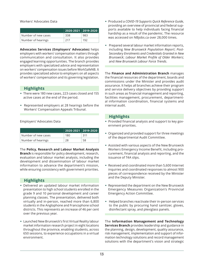Workers' Advocates Data

|                     | $\overline{\phantom{1}12020}$ -2021 $\overline{\phantom{1}}$ 2019-2020 $\overline{\phantom{1}}$ |     |
|---------------------|-------------------------------------------------------------------------------------------------|-----|
| Number of new cases | 338                                                                                             | 983 |
| Number of hearings  | 217                                                                                             | 192 |

**Advocates Services (Employers' Advocates**) helps employers with workers' compensation matters through communication and consultation. It also provides engaged learning opportunities. The branch provides employers with specialized advice and representation on workers' compensation issues before WorkSafeNB. It provides specialized advice to employers on all aspects of workers' compensation and its governing legislation.

## **Highlights**

- There were 180 new cases, 223 cases closed and 155 active cases at the end of the period.
- Represented employers at 28 hearings before the Workers' Compensation Appeals Tribunal.

Employers' Advocates Data

|                     | 2020-2021 2019-2020 |      |
|---------------------|---------------------|------|
| Number of new cases | 180                 | -311 |
| Number of hearings  | 28                  | 58   |

The **Policy, Research and Labour Market Analysis Branch** is responsible for policy development, research, evaluation and labour market analysis, including the development and dissemination of labour market information to advance the department's mission, while ensuring consistency with government priorities.

## **Highlights**

- Delivered an updated labour market information presentation to high school students enrolled in the grade 9 and 10 personal development and career planning classes. The presentation, delivered both virtually and in-person, reached more than 6,800 students in the Anglophone and Francophone school districts. This represents an increase of 46 per cent over the previous year.
- Launched New Brunswick's first Virtual Reality labour market information research project in eight locations throughout the province, enabling students, across 650 sessions, to experience occupations in a virtual environment.
- Produced a *COVID-19 Supports Quick Reference Guide*, providing an overview of provincial and federal supports available to help individuals facing financial hardship as a result of the pandemic. The resource was accessed on NBjobs.ca over 28,000 times.
- Prepared several labour market information reports, including *New Brunswick Population Report*; *Post-Secondary Enrolments and Credentials Granted in New Brunswick*; *Labour Market Profile of Older Workers*; and *New Brunswick Labour Force Trends*.

The **Finance and Administration Branch** manages the financial resources of the department, boards and commissions under the Minister and provides audit assurance. It helps all branches achieve their program and service delivery objectives by providing support in such areas as financial management and reporting, facilities management, procurement, departmental information coordination, financial systems and internal audit.

## **Highlights**

- Provided financial analysis and support to key government priorities.
- Organized and provided support for three meetings of the departmental Audit Committee.
- Assisted with various aspects of the New Brunswick Workers Emergency Income Benefit, including procurement, financial analysis and reporting, and the issuance of T4A slips.
- Received and coordinated more than 5,600 Internet inquiries and coordinated responses to almost 900 pieces of correspondence received by the Minister and the Deputy Minister.
- Represented the department on the New Brunswick Emergency Measures Organization's Provincial Emergency Action Committee.
- Helped branches reactivate their in-person services to the public by procuring hand sanitizer, gloves, disinfectant spray, and plexiglass panels.

The **Information Management and Technology Services Branch** provides leadership and guidance in the planning, design, development, quality assurance, risk management, implementation and support of information technology solutions and record management solutions with the department's vision and strategic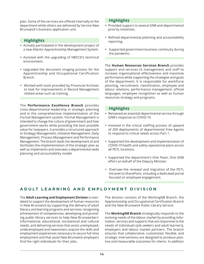plan. Some of the services are offered internally to the department while others are delivered by Service New Brunswick's business application unit.

## **Highlights**

- Actively participated in the development project of a new Atlantic Apprenticeship Management System.
- Assisted with the upgrading of NBCCD's technical environment.
- Upgraded the document imaging process for the Apprenticeship and Occupational Certification Branch.
- Worked with tools provided by Provincial Archives to look for improvements in Record Management related areas such as training.

The **Performance Excellence Branch** provides cross-departmental leadership in strategic planning and in the comprehensive implementation of the Formal Management system. Formal Management is intended to change the culture of government and how government works while providing the best possible value for taxpayers. It provides a structured approach to Strategy Management, Initiative Management, Daily Management, Process Management and Performance Management. The branch leads the development of and facilitates the implementation of the strategic plan as well as implements and oversees a departmental-wide planning and accountability model.

## **Highlights**

- Provided support to several GNB and departmental priority initiatives.
- Refined departmental planning and accountability reporting.
- Supported government business continuity during the pandemic.

The **Human Resources Services Branch** provides support and services to management and staff to increase organizational effectiveness and maximize performance while supporting the strategies and goals of the department. It is responsible for workforce planning, recruitment, classification, employee and labour relations, performance management, official languages, employee recognition as well as human resources strategy and programs.

## **Highlights**

- Remained an essential departmental service through GNB's response to COVID-19.
- Involved in the critical staffing process of upward of 200 deployments of departmental Free Agents to respond to critical needs across Part 1.
- Supported the development and implementation of COVID-19 health and safety operational plans across all PETL locations.
- Supported the department's One Team, One GNB effort on behalf of the Deputy Minister.
- Oversaw the renewal and migration of the PETL Intranet to SharePoint, including a dedicated portal focused on employee engagement.

## **ADULT LEARNING AND EMPLOYMENT DIVISION**

The **Adult Learning and Employment Division** is mandated to support the development of human resources in New Brunswick by supporting the delivery of adult literacy and learning programs and services; recognizing achievement of competencies; developing and providing public library services to help New Brunswickers' informational, educational, recreational and cultural needs; and delivering services that assist unemployed, underemployed and newcomers acquire the skills and employment experiences necessary to secure full-time employment and that assist New Brunswick employers find the right individuals for their jobs.

The division consists of the WorkingNB Branch, the Apprenticeship and Occupational Certification Branch and the New Brunswick Public Library Service.

The **WorkingNB Branch** strategically responds to the evolving needs of the labour market by providing information, services and supports that are responsive to the needs of individuals (job seekers and adult learners), employers and labour market partners. The branch ensures that collaborative, customized, flexible, and strategic interventions are designed to produce positive and measurable outcomes for clients. In addition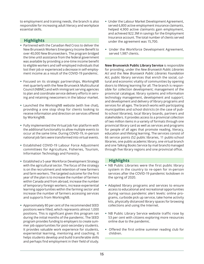to employment and training needs, the branch is also responsible for increasing adult literacy and workplace essential skills.

## **Highlights**

- Partnered with the Canadian Red Cross to deliver the New Brunswick Workers Emergency Income Benefit to over 40,000 New Brunswickers. The program bridged the time until assistance from the federal government was available by providing a one-time income benefit to eligible workers and self-employed individuals that lost their job or experienced a decrease in self-employment income as a result of the COVID-19 pandemic.
- Focused on its strategic partnerships, WorkingNB met quarterly with the New Brunswick Multicultural Council (NBMC) and with immigrant serving agencies to plan and coordinate service delivery efforts in serving and retaining newcomers in the labour market.
- Launched the WorkingNB website (with live chat), providing a one stop shop for clients looking to receive information and direction on services offered by WorkingNB.
- Fully implemented the Virtual Job Fair platform with the additional functionality to allow multiple events to occur at the same time. During COVID-19, in-person national job fairs were transformed into virtual events.
- Established COVID-19 Labour Force Adjustment committees for Agriculture, Fisheries, Tourism, Information Technology and Forestry.
- Established a 5-year Workforce Development Strategy with the agricultural sector. The focus of the strategy is on the recruitment and retention of new farmers and farm workers. The targeted outcome for the first year of the plan is to increase the number of farmers within Canada and from abroad, increase the number of temporary foreign workers, increase experiential learning opportunities within the farming sector and increase the number of farmers accessing services and supports from WorkingNB.
- Approximately 80 per cent of the recommended SEED positions were filled, which represents almost 1,000 positions. This is significant given this program ran during the initial months of the pandemic. The SEED program provides funding to employers to create summer job opportunities for post-secondary students. It provides valuable work experience for students, experiential learning, mentoring and coaching. It helps students develop and build transferable skills and perhaps find employment in their field of study.
- Under the Labour Market Development Agreement, served 6,800 active employment insurance claimants, helped 4,900 active claimants gain employment, and achieved \$22.3M in savings for the Employment Insurance account. The total number of clients served under the agreement was 15,700.
- Under the Workforce Development Agreement, served 1,987 clients.

**New Brunswick Public Library Service** is responsible for providing, under the *New Brunswick Public Libraries Act* and the *New Brunswick Public Libraries Foundation Act*, public library services that enrich the social, cultural and economic vitality of communities by opening doors to lifelong learning for all. The branch is responsible for collection development; management of the provincial catalogue; library systems and information technology management, development and support; and development and delivery of library programs and services for all ages. The branch works with participating municipalities and school districts (in the case of public-school libraries), local library boards, partners and stakeholders. It provides access to a provincial collection of two million items in a variety of formats through one provincial library card as well as services and programs for people of all ages that promote reading, literacy, education and lifelong learning. The services consist of 66 service points (52 public libraries, 11 public-school libraries, one public-academic library, one virtual branch and one Talking Books Service by mail branch) managed through five library regions and one provincial office.

### **Highlights**

- NB Public Libraries were the first public library system in the country to re-open for in-person services after the COVID-19 pandemic lockdown in the spring of 2020.
- Adapted library programs and services to ensure access to educational and recreational opportunities during various pandemic alert levels: online programs, curbside pick up service, take home activity kits, physically distanced library spaces for browsing collections and using the Internet.
- NB Public Library Service website traffic rose by 53 per cent with citizens exploring more resources online due to the pandemic.
- Offered the first online summer reading club for children.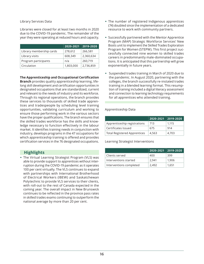Library Services Data

Libraries were closed for at least two months in 2020 due to the COVID-19 pandemic. The remainder of the year they were operating at reduced hours and capacity.

|                          | 2020-2021 | 2019-2020 |
|--------------------------|-----------|-----------|
| Library membership cards | 278,612   | 266,581   |
| Library visits           | 608,349   | 2,360,634 |
| Program participants     | n/a       | 260,719   |
| Circulation              | 1,803,000 | 2,736,859 |

**The Apprenticeship and Occupational Certification** 

**Branch** provides quality apprenticeship learning, lifelong skill development and certification opportunities in designated occupations that are standardized, current and relevant to the needs of industry and its workforce. Through its regional operations, the branch provides these services to thousands of skilled trade apprentices and tradespeople by scheduling level training opportunities, validating curriculum and working to ensure those performing work in the various sectors have the proper qualifications. The branch ensures that the skilled trades workforce has the skills and knowledge necessary to function effectively in the labour market. It identifies training needs in conjunction with industry, develops programs in the 47 occupations for which apprenticeship training is offered and provides certification services in the 76 designated occupations.

## **Highlights**

 The Virtual Learning Strategist Program (VLS) was able to provide support to apprentices without interruption during the COVID-19 pandemic as it operates 100 per cent virtually. The VLS continues to expand with partnerships with International Brotherhood of Electrical Workers (IBEW) and Saskatchewan Polytechnic to provide VLS services to their clients, with roll-out to the rest of Canada expected in the coming year. The overall impact in New Brunswick continues to be reflected in the province pass rates in skilled trades exams continuing to outperform the national average by more than 20 per cent.

- The number of registered Indigenous apprentices (74) doubled since the implementation of a dedicated resource to work with community partners.
- Successfully partnered with the Mentor Apprentice Program (MAP) Strategic Workforce Services' New Boots unit to implement the Skilled Trades Exploration Program for Women (STEPW). This first project successfully connected nine women to skilled trades careers in predominantly male-dominated occupations. It is anticipated that this partnership will grow exponentially in future years.
- Suspended trades training in March of 2020 due to the pandemic. In August 2020, partnering with the colleges, the branch successfully re-instated trades training in a blended learning format. This resumption of training included a digital literacy assessment and connection to learning technology requirements for all apprentices who attended training.

#### Apprenticeship Data

|                                     | 2020-2021 | $ 2019-2020$ |
|-------------------------------------|-----------|--------------|
| Apprenticeship registrations        | 713       | 1.115        |
| Certificates Issued                 | 675       | 914          |
| <b>Total Registered Apprentices</b> | 4,563     | 4,703        |

Learning Strategist Interventions

|                         | 2020-2021 | $ 2019-2020$ |
|-------------------------|-----------|--------------|
| Clients served          | 400       | 399          |
| Interventions started   | 2.941     | 1,906        |
| Interventions completed | 2.492     | 1.651        |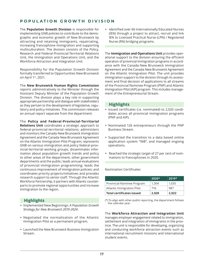## **POPULATION GROWTH DIVISION**

The **Population Growth Division** is responsible for implementing GNB policies to contribute to the demographic and economic growth of New Brunswick by attracting and retaining immigrants, repatriating, increasing francophone immigration and supporting multiculturalism. The division consists of the Policy, Research and Federal-Provincial-Territorial Relations Unit, the Immigration and Operations Unit, and the Workforce Attraction and Integration Unit.

Responsibility for the Population Growth Division formally transferred to Opportunities New Brunswick on April 1st, 2021.

The **New Brunswick Human Rights Commission**

reports administratively to the Minister through the Assistant Deputy Minister of the Population Growth Division. The division plays a key role in supporting appropriate partnership and dialogue with stakeholders as they pertain to the development of legislative, regulatory and policy initiatives. The commission releases an annual report separate from the department.

#### The **Policy and Federal-Provincial-Territorial**

**Relations Unit** coordinates a strategic approach to federal-provincial-territorial relations; administers and monitors the Canada-New Brunswick Immigration Agreement and the Canada-New Brunswick Agreement on the Atlantic Immigration Pilot Program; represents GNB on various immigration and policy federal-provincial-territorial working groups; disseminates information about population growth trends and policy to other areas of the department, other government departments and the public; leads annual evaluations of provincial immigration programming; leads the continuous improvement of immigration policies; and coordinates priority projects/initiatives and provides research support to senior staff. Through the Atlantic Workforce Partnership, it partners with Atlantic counterparts to promote regional opportunities and increase immigration to the region.

## **Highlights**

- Implemented New Beginnings: *A Population Growth Strategy for New Brunswick 2019-2024*.
- Negotiated the normalization of the Atlantic Immigration Pilot as a permanent program.
- Launched the New Brunswick Business Immigration Stream.

• Identified over 66 Internationally Educated Nurses (IEN) through a project to attract, recruit and link IEN to Licensed Practical Nurse (LPN) / Registered Nurse (RN) bridging programs.

The **Immigration and Operations Unit** provides operational support to the division ensuring the efficient operation of provincial immigration programs in accordance with the Canada-New Brunswick Immigration Agreement and the Canada-New Brunswick Agreement on the Atlantic Immigration Pilot. The unit provides immigration support to the division through its assessment and final decision of applications to all streams of the Provincial Nominee Program (PNP) and Atlantic Immigration Pilot (AIP) program. This includes management of the Entrepreneurial Stream.

### **Highlights**

- Issued certificates (i.e. nominated) to 2,020 candidates across all provincial immigration programs (PNP and AIP).
- Nominated 126 entrepreneurs through the PNP Business Stream.
- Supported the transition to a data based online application system "INB", and managed ongoing operations.
- Reached the strategic target of 27 per cent of nominations to francophones in 2020.

#### Nomination Certificates

|                                  | $2020*$ | $2019*$ |
|----------------------------------|---------|---------|
| Provincial Nominee Program       | 1,304   | 1,035   |
| Atlantic Immigration Pilot       | 716     | 987     |
| <b>Total certificates issued</b> | 2.020   | 2.022   |

(\*) To align with other public reporting, the department follows the calendar year.

The **Workforce Attraction and Integration Unit** manages employer engagement related to immigration, settlement and integration of immigrants in the province. The unit is responsible for developing, organizing and conducting workforce attraction events such as international recruitment missions and international student events.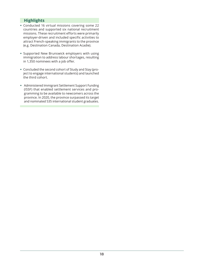## **Highlights**

- Conducted 16 virtual missions covering some 22 countries and supported six national recruitment missions. These recruitment efforts were primarily employer-driven and included specific activities to attract French-speaking immigrants to the province (e.g. Destination Canada, Destination Acadie).
- Supported New Brunswick employers with using immigration to address labour shortages, resulting in 1,350 nominees with a job offer.
- Concluded the second cohort of Study and Stay (project to engage international students) and launched the third cohort.
- Administered Immigrant Settlement Support Funding (ISSF) that enabled settlement services and programming to be available to newcomers across the province. In 2020, the province surpassed its target and nominated 535 international student graduates.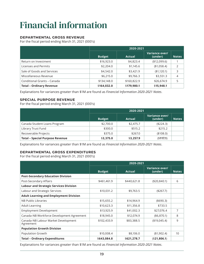## <span id="page-22-0"></span>Financial information

### **DEPARTMENTAL GROSS REVENUE**

For the fiscal period ending March 31, 2021 (000's)

|                                 | 2020-2021     |               |                           |                |
|---------------------------------|---------------|---------------|---------------------------|----------------|
|                                 | <b>Budget</b> | <b>Actual</b> | Variance over/<br>(under) | <b>Notes</b>   |
| Return on Investment            | \$16,923.0    | \$4,823.4     | (\$12,099.6)              |                |
| Licenses and Permits            | \$2,204.0     | \$1,145.6     | (\$1,058.4)               | $\mathfrak{D}$ |
| Sale of Goods and Services      | \$4,542.0     | \$3,421.9     | (\$1,120.1)               | 3              |
| Miscellaneous Revenue           | \$6,215.0     | \$9,766.3     | \$3,551.3                 | 4              |
| Conditional Grants - Canada     | \$134,148.0   | \$160,822.9   | \$26,674.9                | 5              |
| <b>Total - Ordinary Revenue</b> | \$164,032.0   | \$179,980.1   | \$15,948.1                |                |

Explanations for variances greater than \$1M are found as *Financial Information 2020-2021 Notes*.

#### **SPECIAL PURPOSE REVENUE**

For the fiscal period ending March 31, 2021 (000's)

|                                        | 2020-2021     |               |                           |              |
|----------------------------------------|---------------|---------------|---------------------------|--------------|
|                                        | <b>Budget</b> | <b>Actual</b> | Variance over/<br>(under) | <b>Notes</b> |
| Canada Student Loans Program           | \$2,700.0     | \$2,475.7     | ( \$224.3)                |              |
| Library Trust Fund                     | \$300.0       | \$515.2       | \$215.2                   |              |
| Recoverable Projects                   | \$375.0       | \$267.0       | (\$108.0)                 |              |
| <b>Total - Special Purpose Revenue</b> | \$3,375.0     | \$3,257.9     | (\$117.1)                 |              |

Explanations for variances greater than \$1M are found as *Financial Information 2020-2021 Notes*.

### **DEPARTMENTAL GROSS EXPENDITURES**

For the fiscal period ending March 31, 2021 (000's)

|                                                  | 2020-2021     |               |                           |              |
|--------------------------------------------------|---------------|---------------|---------------------------|--------------|
|                                                  | <b>Budget</b> | <b>Actual</b> | Variance over/<br>(under) | <b>Notes</b> |
| <b>Post-Secondary Education Division</b>         |               |               |                           |              |
| Post-Secondary Affairs                           | \$461,461.9   | \$440,621.8   | (\$20,840.1)              | 6            |
| <b>Labour and Strategic Services Division</b>    |               |               |                           |              |
| Labour and Strategic Services                    | \$10,031.2    | \$9,763.5     | (\$267.7)                 |              |
| <b>Adult Learning and Employment Division</b>    |               |               |                           |              |
| <b>NB Public Libraries</b>                       | \$15,655.2    | \$14,964.9    | (\$690.3)                 |              |
| <b>Adult Learning</b>                            | \$10,623.3    | \$11,356.8    | \$733.5                   |              |
| <b>Employment Development</b>                    | \$13,925.9    | \$41,002.3    | \$27,076.4                | 7            |
| Canada-NB Workforce Development Agreement        | \$18,945.0    | \$12,074.9    | ( \$6,870.1)              | 8            |
| Canada-NB Labour Market Development<br>Agreement | \$102,433.9   | \$83,388.5    | (\$19,045.4)              | 9            |
| <b>Population Growth Division</b>                |               |               |                           |              |
| Population Growth                                | \$10,008.4    | \$8,106.0     | (\$1,902.4)               | 10           |
| <b>Total - Ordinary Expenditures</b>             | \$643,084.8   | \$621,278.7   | (\$21,806.1)              |              |

Explanations for variances greater than \$1M are found as *Financial Information 2020-2021 Notes*.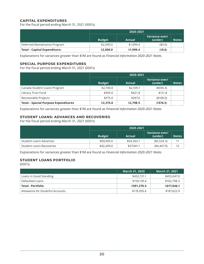### **CAPITAL EXPENDITURES**

For the fiscal period ending March 31, 2021 (000's)

|                                     | 2020-2021     |           |                           |              |
|-------------------------------------|---------------|-----------|---------------------------|--------------|
|                                     | <b>Budget</b> | Actual    | Variance over/<br>(under) | <b>Notes</b> |
| Deferred Maintenance Program        | \$2,000.0     | \$1,999.4 | (40.6)                    |              |
| <b>Total - Capital Expenditures</b> | \$2,000.0     | \$1,999.4 | (50.6)                    |              |

Explanations for variances greater than \$1M are found as *Financial Information 2020-2021 Notes*.

#### **SPECIAL PURPOSE EXPENDITURES**

For the fiscal period ending March 31, 2021 (000's)

|                                             | 2020-2021     |               |                           |              |  |
|---------------------------------------------|---------------|---------------|---------------------------|--------------|--|
|                                             | <b>Budget</b> | <b>Actual</b> | Variance over/<br>(under) | <b>Notes</b> |  |
| Canada Student Loans Program                | \$2,700.0     | \$2,109.7     | ( \$590.3)                |              |  |
| Library Trust Fund                          | \$300.0       | \$421.8       | \$121.8                   |              |  |
| Recoverable Projects                        | \$375.0       | \$267.0       | (\$108.0)                 |              |  |
| <b>Total - Special Purpose Expenditures</b> | \$3,375.0     | \$2,798.5     | (\$576.5)                 |              |  |

Explanations for variances greater than \$1M are found as *Financial Information 2020-2021 Notes*.

### **STUDENT LOANS: ADVANCES AND RECOVERIES**

For the fiscal period ending March 31, 2021 (000's)

|                                 | 2020-2021     |            |                           |              |  |
|---------------------------------|---------------|------------|---------------------------|--------------|--|
|                                 | <b>Budget</b> | Actual     | Variance over/<br>(under) | <b>Notes</b> |  |
| Student Loans Advances          | \$69,900.0    | \$64,365.7 | ( \$5,534.3)              | 11           |  |
| <b>Student Loans Recoveries</b> | \$42,409.0    | \$37,941.1 | (4,467.9)                 | 12           |  |

Explanations for variances greater than \$1M are found as *Financial Information 2020-2021 Notes*.

## **STUDENT LOANS PORTFOLIO**

(000's)

|                                 | <b>March 31, 2020</b> | <b>March 31, 2021</b> |
|---------------------------------|-----------------------|-----------------------|
| Loans in Good Standing          | \$432,131.1           | \$455,047.8           |
| Defaulted Loans                 | \$159,139.4           | \$162,798.3           |
| <b>Total - Portfolio</b>        | \$591.270.5           | \$617,846.1           |
| Allowance for Doubtful Accounts | \$176,935.6           | \$187,622.9           |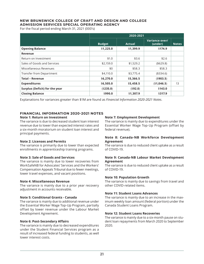### **NEW BRUNSWICK COLLEGE OF CRAFT AND DESIGN AND COLLEGE ADMISSION SERVICES SPECIAL OPERATING AGENCY**

For the fiscal period ending March 31, 2021 (000's)

|                                | 2020-2021     |               |                           |              |  |
|--------------------------------|---------------|---------------|---------------------------|--------------|--|
|                                | <b>Budget</b> | <b>Actual</b> | Variance over/<br>(under) | <b>Notes</b> |  |
| <b>Opening Balance</b>         | \$1,225.0     | \$1,399.9     | \$174.9                   |              |  |
| Revenue                        |               |               |                           |              |  |
| Return on Investment           | \$1.0         | \$3.6         | \$2.6                     |              |  |
| Sales of Goods and Services    | \$2,159.0     | \$1,529.2     | ( \$629.8)                |              |  |
| Miscellaneous Revenues         | \$0           | \$58.3        | \$58.3                    |              |  |
| Transfer from Department       | \$4,110.0     | \$3,775.4     | (\$334.6)                 |              |  |
| <b>Total - Revenue</b>         | \$6,270.0     | \$5,366.5     | (\$903.5)                 |              |  |
| <b>Expenditures</b>            | \$6,505.0     | \$5,458.5     | (\$1,046.5)               | 13           |  |
| Surplus (Deficit) for the year | (\$235.0)     | (\$92.0)      | \$143.0                   |              |  |
| <b>Closing Balance</b>         | \$990.0       | \$1,307.9     | \$317.9                   |              |  |

Explanations for variances greater than \$1M are found as *Financial Information 2020-2021 Notes*.

#### **FINANCIAL INFORMATION 2020-2021 NOTES**

#### **Note 1: Return on Investment**

The variance is due to decreased student loan interest revenue due to lower than expected interest rates and a six-month moratorium on student loan interest and principal payments.

#### **Note 2: Licenses and Permits**

The variance is primarily due to lower than expected enrollments in apprenticeship training programs.

#### **Note 3: Sale of Goods and Services**

The variance is mainly due to lower recoveries from WorkSafeNB for Advocates' Services and the Workers' Compensation Appeals Tribunal due to fewer meetings, lower travel expenses, and vacant positions.

#### **Note 4: Miscellaneous Revenue**

The variance is mainly due to a prior year recovery adjustment in accounts receivable.

#### **Note 5: Conditional Grants - Canada**

The variance is mainly due to additional revenue under the Essential Worker Wage Top-Up Program, partially offset by lower revenue under the Labour Market Development Agreement.

#### **Note 6: Post-Secondary Affairs**

The variance is mainly due to decreased expenditures under the Student Financial Services program as a result of increased federal funding to students, as well lower interest costs.

#### **Note 7: Employment Development**

The variance is mainly due to expenditures under the Essential Worker Wage Top-Up Program (offset by federal revenue).

#### **Note 8: Canada-NB Workforce Development Agreement**

The variance is due to reduced client uptake as a result of COVID-19.

#### **Note 9: Canada-NB Labour Market Development Agreement**

The variance is due to reduced client uptake as a result of COVID-19.

#### **Note 10: Population Growth**

The variance is mainly due to savings from travel and other COVID-related items.

#### **Note 11: Student Loans Advances**

The variance is mainly due to an increase in the maximum weekly loan amount (federal portion) under the Canada Student Loans Program.

#### **Note 12: Student Loans Recoveries**

The variance is mainly due to a six-month pause on student loan repayments from March 2020 to September 2020.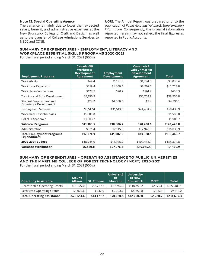#### **Note 13: Special Operating Agency**

The variance is mainly due to lower than expected salary, benefit, and administrative expenses at the New Brunswick College of Craft and Design, as well as to the transfer of College Admissions Services to NBCC and CCNB.

*NOTE*: The Annual Report was prepared prior to the publication of *Public Accounts Volume 2: Supplementary Information*. Consequently, the financial information reported herein may not reflect the final figures as reported in Public Accounts.

#### **SUMMARY OF EXPENDITURES - EMPLOYMENT, LITERACY AND WORKPLACE ESSENTIAL SKILLS PROGRAMS 2020-2021**

For the fiscal period ending March 31, 2021 (000's)

| <b>Employment Programs</b>                              | Canada-NB<br><b>Workforce</b><br><b>Development</b><br><b>Agreement</b> | <b>Employment</b><br><b>Development</b> | Canada-NB<br><b>Labour Market</b><br><b>Development</b><br><b>Agreement</b> | <b>Total</b> |
|---------------------------------------------------------|-------------------------------------------------------------------------|-----------------------------------------|-----------------------------------------------------------------------------|--------------|
| Work Ability                                            | \$44.4                                                                  | \$1,191.5                               | \$1,794.5                                                                   | \$3,030.4    |
| Workforce Expansion                                     | \$719.4                                                                 | \$1,300.4                               | \$8,207.0                                                                   | \$10,226.8   |
| <b>Workplace Connections</b>                            | \$122.7                                                                 | \$20.7                                  | \$261.9                                                                     | \$405.3      |
| Training and Skills Development                         | \$3,190.9                                                               |                                         | \$35,764.9                                                                  | \$38,955.8   |
| Student Employment and<br>Experience Development        | \$24.2                                                                  | \$4,860.5                               | \$5.4                                                                       | \$4,890.1    |
| <b>Employment Services</b>                              | \$3,517.4                                                               | \$31,513.6                              | \$24,404.9                                                                  | \$59,435.9   |
| Workplace Essential Skills                              | \$1,580.8                                                               |                                         |                                                                             | \$1,580.8    |
| <b>CALNET Academic</b>                                  | \$1,903.7                                                               |                                         |                                                                             | \$1,903.7    |
| <b>Subtotal Programs</b>                                | \$11,103.5                                                              | \$38,886.7                              | \$70,438.6                                                                  | \$120,428.8  |
| Administration                                          | \$971.4                                                                 | \$2,115.6                               | \$12,949.9                                                                  | \$16,036.9   |
| <b>Total Employment Programs</b><br><b>Expenditures</b> | \$12,074.9                                                              | \$41,002.3                              | \$83,388.5                                                                  | \$136,465.7  |
| 2020-2021 Budget                                        | \$18,945.0                                                              | \$13,925.9                              | \$102,433.9                                                                 | \$135,304.8  |
| Variance over/(under)                                   | (\$6,870.1)                                                             | \$27,076.4                              | (\$19,045.4)                                                                | \$1,160.9    |

## **SUMMARY OF EXPENDITURES – OPERATING ASSISTANCE TO PUBLIC UNIVERSITIES AND THE MARITIME COLLEGE OF FOREST TECHNOLOGY (MCFT) 2020-2021**

For the fiscal period ending March 31, 2021 (000's)

| <b>Operating Assistance</b>        | <b>Mount</b><br><b>Allison</b> | <b>St. Thomas</b> | <b>Université</b><br>de<br><b>Moncton</b> | <b>University</b><br>of New<br><b>Brunswick</b> | <b>MCFT</b> | <b>Total</b> |
|------------------------------------|--------------------------------|-------------------|-------------------------------------------|-------------------------------------------------|-------------|--------------|
| Unrestricted Operating Grants      | \$21,527.0                     | \$12,737.2        | \$67,287.6                                | \$118,756.2                                     | \$2,175.1   | \$222,483.1  |
| <b>Restricted Operating Grants</b> | \$1,024.6                      | \$442.0           | \$2,793.2                                 | \$4,850.8                                       | \$105.6     | \$9,216.2    |
| <b>Total Operating Assistance</b>  | \$22,551.6                     | \$13,179.2        | \$70,080.8                                | \$123,607.0                                     | \$2,280.7   | \$231,699.3  |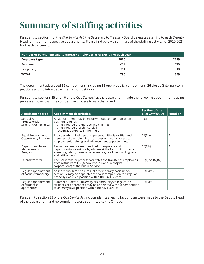## <span id="page-26-0"></span>Summary of staffing activities

Pursuant to section 4 of the *Civil Service Act*, the Secretary to Treasury Board delegates staffing to each Deputy Head for his or her respective departments. Please find below a summary of the staffing activity for 2020-2021 for the department.

| Number of permanent and temporary employees as of Dec. 31 of each year |      |      |  |
|------------------------------------------------------------------------|------|------|--|
| $\overline{\phantom{a}}$ Employee type                                 | 2020 | 2019 |  |
| Permanent                                                              | 679  | 710  |  |
| Temporary                                                              | 111  | 119  |  |
| <b>TOTAL</b>                                                           | 790  | 829  |  |

The department advertised **62** competitions, including **36** open (public) competitions, **26** closed (internal) competitions and no intra-departmental competitions.

Pursuant to sections 15 and 16 of the *Civil Service Act*, the department made the following appointments using processes other than the competitive process to establish merit:

| <b>Appointment type</b>                                 | <b>Appointment description</b>                                                                                                                                                                          | Section of the<br><b>Civil Service Act</b> | <b>Number</b> |
|---------------------------------------------------------|---------------------------------------------------------------------------------------------------------------------------------------------------------------------------------------------------------|--------------------------------------------|---------------|
| Specialized<br>Professional,<br>Scientific or Technical | An appointment may be made without competition when a<br>position requires:<br>- a high degree of expertise and training<br>- a high degree of technical skill<br>- recognized experts in their field   | 15(1)                                      | 0             |
| Equal Employment<br><b>Opportunity Program</b>          | Provides Aboriginal persons, persons with disabilities and<br>members of a visible minority group with equal access to<br>employment, training and advancement opportunities.                           | 16(1)a)                                    | 1             |
| Department Talent<br>Management<br>Program              | Permanent employees identified in corporate and<br>departmental talent pools, who meet the four-point criteria for<br>assessing talent, namely performance, readiness, willingness<br>and criticalness. | 16(1)b                                     |               |
| Lateral transfer                                        | The GNB transfer process facilitates the transfer of employees<br>from within Part 1, 2 (school boards) and 3 (hospital<br>corporations) of the Public Service.                                         | $16(1)$ or $16(1)c$ )                      | 9             |
| Regular appointment<br>of casual/temporary              | An individual hired on a casual or temporary basis under<br>section 17 may be appointed without competition to a regular<br>properly classified position within the Civil Service.                      | $16(1)d$ )(i)                              | 0             |
| Regular appointment<br>of students/<br>apprentices      | Summer students, university or community college co-op<br>students or apprentices may be appointed without competition<br>to an entry level position within the Civil Service.                          | 16(1)d)(ii)                                | 0             |

Pursuant to section 33 of the *Civil Service Act*, no complaints alleging favouritism were made to the Deputy Head of the department and no complaints were submitted to the Ombud.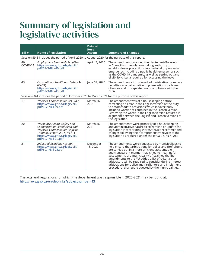## <span id="page-27-0"></span>Summary of legislation and legislative activities

| Bill #         | <b>Name of legislation</b>                                                                                                                                                                   | Date of<br><b>Royal</b><br><b>Assent</b> | <b>Summary of changes</b>                                                                                                                                                                                                                                                                                                                                                                                                                                                                                                 |
|----------------|----------------------------------------------------------------------------------------------------------------------------------------------------------------------------------------------|------------------------------------------|---------------------------------------------------------------------------------------------------------------------------------------------------------------------------------------------------------------------------------------------------------------------------------------------------------------------------------------------------------------------------------------------------------------------------------------------------------------------------------------------------------------------------|
|                | Session 59-3 includes the period of April 2020 to August 2020 for the purpose of this report.                                                                                                |                                          |                                                                                                                                                                                                                                                                                                                                                                                                                                                                                                                           |
| 40<br>COVID-19 | Employment Standards Act (ESA)<br>https://www.gnb.ca/legis/bill/<br>pdf/59/3/Bill-40.pdf                                                                                                     | April 17, 2020                           | The amendment provided the Lieutenant-Governor<br>in Council with regulation-making authority to<br>establish leave protections in a national or provincial<br>emergency, including a public health emergency such<br>as the COVID-19 pandemic, as well as setting out any<br>eligibility criteria required for accessing the leave.                                                                                                                                                                                      |
| 43             | Occupational Health and Safety Act<br>(OHSA)<br>https://www.gnb.ca/legis/bill/<br>pdf/59/3/Bill-43.pdf                                                                                       | June 18, 2020                            | The amendments introduced administrative monetary<br>penalties as an alternative to prosecutions for lesser<br>offences and for repeated non-compliance with the<br>OHSA.                                                                                                                                                                                                                                                                                                                                                 |
|                | Session 60-1 includes the period of October 2020 to March 2021 for the purpose of this report.                                                                                               |                                          |                                                                                                                                                                                                                                                                                                                                                                                                                                                                                                                           |
| 19             | Workers' Compensation Act (WCA)<br>https://www.gnb.ca/legis/bill/<br>pdf/60/1/Bill-19.pdf                                                                                                    | March 26,<br>2021                        | The amendment was of a housekeeping nature<br>correcting an error in the English version of the duty<br>to accommodate provisions which inadvertently<br>included words not contained in the French version.<br>Removing the words in the English version resulted in<br>alignment between the English and French versions of<br>the legislation.                                                                                                                                                                         |
| 20             | Workplace Health, Safety and<br>Compensation Commission and<br><b>Workers' Compensation Appeals</b><br>Tribunal Act (WHSSC & WCAT)<br>https://www.gnb.ca/legis/bill/<br>pdf/60/1/Bill-20.pdf | March 26,<br>2021                        | The amendments were primarily of a housekeeping<br>and administrative nature to streamline or update the<br>legislation incorporating WorkSafeNB's recommended<br>changes following their comprehensive review of the<br>legislation as required under the WHSCC & WCAT Act.                                                                                                                                                                                                                                              |
| 21             | Industrial Relations Act (IRA)<br>https://www.gnb.ca/legis/bill/<br>pdf/60/1/Bill-21.pdf                                                                                                     | December<br>18, 2020                     | The amendments were requested by municipalities to<br>help ensure that arbitrations for police and firefighters<br>are carried out in a more efficient, accountable<br>and transparent manner that is tied to meaningful<br>assessments of a municipality's fiscal health. The<br>amendments to the <i>IRA</i> added a list of criteria that<br>arbitrators will be required to consider during interest<br>arbitrations for police and firefighters and implement<br>procedural changes requested by the municipalities. |

The acts and regulations for which the department was responsible in 2020-2021 may be found at: <http://laws.gnb.ca/en/deplinks?subjectnumber=13>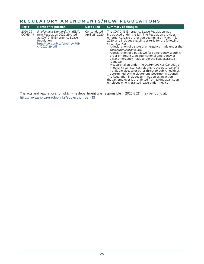## **REGULATORY AMENDMENTS/NEW REGULATIONS**

| Reg#                | <b>Name of regulation</b>                                                                                                                                        | <b>Date Filed</b>              | <b>Summary of changes</b>                                                                                                                                                                                                                                                                                                                                                                                                                                                                                                                                                                                                                                                                                                                                                                                                                                                                                          |
|---------------------|------------------------------------------------------------------------------------------------------------------------------------------------------------------|--------------------------------|--------------------------------------------------------------------------------------------------------------------------------------------------------------------------------------------------------------------------------------------------------------------------------------------------------------------------------------------------------------------------------------------------------------------------------------------------------------------------------------------------------------------------------------------------------------------------------------------------------------------------------------------------------------------------------------------------------------------------------------------------------------------------------------------------------------------------------------------------------------------------------------------------------------------|
| 2020-29<br>COVID-19 | Employment Standards Act (ESA),<br>new Regulation 2020-29 cited<br>as COVID-19 Emergency Leave<br>Regulation<br>http://laws.gnb.ca/en/ShowPdf/<br>cr/2020-29.pdf | Consolidated<br>April 28, 2020 | The COVID-19 Emergency Leave Regulation was<br>introduced under the ESA. The Regulation provides<br>emergency leave protection beginning on March 12,<br>2020, and includes eligibility criteria for the following<br>circumstances:<br>- A declaration of a state of emergency made under the<br><b>Emergency Measures Act;</b><br>- A declaration of a public welfare emergency, a public<br>order emergency, an international emergency or<br>a war emergency made under the <i>Emergencies Act</i><br>(Canada);<br>- Measure taken under the Quarantine Act (Canada); or<br>- In other circumstances relating to the outbreak of a<br>notifiable disease or other threat to public health as<br>determined by the Lieutenant-Governor in Council.<br>The Regulation includes termination as an action<br>that an employer is prohibited from taking against an<br>employee who is granted leave under the Act. |

The acts and regulations for which the department was responsible in 2020-2021 may be found at: <http://laws.gnb.ca/en/deplinks?subjectnumber=13>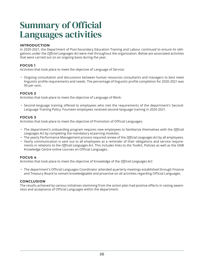## <span id="page-29-0"></span>Summary of Official Languages activities

## **INTRODUCTION**

In 2020-2021, the Department of Post-Secondary Education Training and Labour continued to ensure its obligations under the *Official Languages Act* were met throughout the organization. Below are associated activities that were carried out on an ongoing basis during the year.

## **FOCUS 1**

Activities that took place to meet the objective of Language of Service:

• Ongoing consultation and discussions between human resources consultants and managers to best meet linguistic profile requirements and needs. The percentage of linguistic profile completion for 2020-2021 was 90 per cent.

### **FOCUS 2**

Activities that took place to meet the objective of Language of Work:

• Second-language training offered to employees who met the requirements of the department's Second-Language Training Policy. Fourteen employees received second-language training in 2020-2021.

### **FOCUS 3**

Activities that took place to meet the objective of Promotion of Official Languages:

- The department's onboarding program requires new employees to familiarize themselves with the *Official Languages Act* by completing the mandatory eLearning modules.
- The yearly Performance Management process required review of the *Official Languages Act* by all employees.
- Yearly communication is sent out to all employees as a reminder of their obligations and service requirements in relations to the *Official Languages Act*. This includes links to the Toolkit, Policies as well as the GNB Knowledge Centre online courses on Official Languages.

### **FOCUS 4**

Activities that took place to meet the objective of Knowledge of the *Official Languages Act*:

• The department's Official Languages Coordinator attended quarterly meetings established through Finance and Treasury Board to remain knowledgeable and proactive on all activities regarding Official Languages.

### **CONCLUSION**

The results achieved by various initiatives stemming from the action plan had positive effects in raising awareness and acceptance of Official Languages within the department.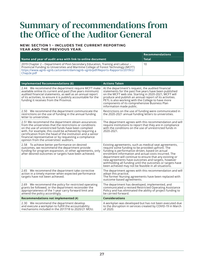## <span id="page-30-0"></span>Summary of recommendations from the Office of the Auditor General

### **NEW: SECTION 1 – INCLUDES THE CURRENT REPORTING YEAR AND THE PREVIOUS YEAR.**

|                                                                                                                                                                                                                                                                    | $\mid$ Recommendations |  |
|--------------------------------------------------------------------------------------------------------------------------------------------------------------------------------------------------------------------------------------------------------------------|------------------------|--|
| Name and year of audit area with link to online document                                                                                                                                                                                                           | <b>Total</b>           |  |
| 2019 Chapter 2 - Department of Post-Secondary Education, Training and Labour -<br>Provincial Funding to Universities and Maritime College of Forest Technology (MCFT)<br>https://www.agnb-vgnb.ca/content/dam/agnb-vgnb/pdf/Reports-Rapports/2019V2/<br>Chap2e.pdf | 10                     |  |

| <b>Implemented Recommendations (6)</b>                                                                                                                                                                                                                                                                                                                                                                  | <b>Actions Taken</b>                                                                                                                                                                                                                                                                                                                                                                                                                                      |
|---------------------------------------------------------------------------------------------------------------------------------------------------------------------------------------------------------------------------------------------------------------------------------------------------------------------------------------------------------------------------------------------------------|-----------------------------------------------------------------------------------------------------------------------------------------------------------------------------------------------------------------------------------------------------------------------------------------------------------------------------------------------------------------------------------------------------------------------------------------------------------|
| 2.44 We recommend the department require MCFT make<br>available online its current and past (five years minimum)<br>audited financial statements, as well as an annual report<br>of its activities, to ensure it is publicly accountable for the<br>funding it receives from the Province.                                                                                                              | At the department's request, the audited financial<br>statements for the past five years have been published<br>on the MCFT web site. Starting in 2020-2021, MCFT will<br>produce and publish an annual report of its activities.<br>PETL is also working with the College to have more<br>components of its comprehensive Business Plan<br>information made public.                                                                                      |
| 2.50 We recommend the department communicate the<br>restrictions on the use of funding in the annual funding<br>letter to universities.                                                                                                                                                                                                                                                                 | Restrictions on the use of funding were communicated in<br>the 2020-2021 annual funding letters to universities.                                                                                                                                                                                                                                                                                                                                          |
| 2.51 We recommend the department obtain assurances<br>from the universities that the restrictions or conditions<br>on the use of unrestricted funds have been complied<br>with. For example, this could be achieved by requiring a<br>certification from the head of the institution and a senior<br>financial representative or by requesting a compliance<br>opinion from the universities' auditors. | The department agrees with this recommendation and will<br>require institutions to report that they are in compliance<br>with the conditions on the use of unrestricted funds in<br>2020-2021.                                                                                                                                                                                                                                                            |
| 2.58 To achieve better performance on desired<br>outcomes, we recommend the department provide<br>funding for program expansion, or other agreements, only<br>after desired outcomes or targets have been achieved.                                                                                                                                                                                     | Existing agreements, such as medical seat agreements,<br>require some funding to be provided upfront. The<br>funding is performance-driven, based on actual<br>enrolment information and actual costs incurred. The<br>department will continue to ensure that any existing or<br>new agreements have outcomes and targets, however<br>withholding all funding until the outcomes or targets have<br>been achieved may not be feasible in all situations. |
| 2.65 We recommend the department take corrective<br>action in a timely manner when expected performance<br>targets have not been achieved.                                                                                                                                                                                                                                                              | The department agrees with this recommendation and will<br>adopt this practice.<br>The former Nursing agreements have been replaced with<br>outcome-based agreements.                                                                                                                                                                                                                                                                                     |
| 2.69 We recommend the policy for restricted operating<br>grants be followed, or the department reconsider the<br>appropriateness of the 1-year carry forward limit and<br>amend the policy accordingly.                                                                                                                                                                                                 | The department has developed, implemented, and<br>communicated a revised Restricted Operating Assistance<br>Policy and has eliminated the ability of project funding to<br>be carried forward.                                                                                                                                                                                                                                                            |
| Recommendations not implemented (4)                                                                                                                                                                                                                                                                                                                                                                     | <b>Considerations</b>                                                                                                                                                                                                                                                                                                                                                                                                                                     |
| 2.30 We recommend the department develop<br>and execute a workplan to fulfill the accountability<br>mechanisms included in the 2017/18 to 2020/21 MOU.                                                                                                                                                                                                                                                  | A workplan was developed but has not been executed due<br>to the disruption in services created by COVID-19 in March<br>of 2020.                                                                                                                                                                                                                                                                                                                          |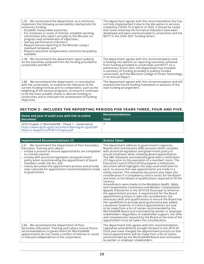| 2.32 We recommend the department, as a minimum,<br>implement the following accountability mechanisms for<br>university funding:<br>- Establish measurable outcomes;<br>- For initiatives or areas of interest, establish working<br>committees who report annually to the Minister on<br>progress and achievement of objectives;<br>- Use key performance indicators;<br>- Require annual reporting to the Minister using a<br>standard template; and<br>- Require executive compensation contracts be publicly<br>available. | The department agrees with this recommendation but has<br>not fully implemented it due to the disruption in services<br>created by COVID-19 in March of 2020. It should be noted<br>that some initial Key Performance Indicators have been<br>developed and were communicated to universities and the<br>MCFT in the 2020-2021 funding letters.                         |
|-------------------------------------------------------------------------------------------------------------------------------------------------------------------------------------------------------------------------------------------------------------------------------------------------------------------------------------------------------------------------------------------------------------------------------------------------------------------------------------------------------------------------------|-------------------------------------------------------------------------------------------------------------------------------------------------------------------------------------------------------------------------------------------------------------------------------------------------------------------------------------------------------------------------|
| 2.38 We recommend the department report publicly<br>on the outcomes achieved from the funding provided to<br>universities and MCFT.                                                                                                                                                                                                                                                                                                                                                                                           | The department agrees with this recommendation and<br>is looking into options on reporting outcomes achieved<br>from funding provided to universities and MCFT. As a<br>preliminary action item, the department has included<br>a summary of funding provided to publicly funded<br>universities and the Maritime College of Forest Technology<br>in its Annual Report. |
| 2.88 We recommend the department, in consultation<br>with the universities, re-examine the relevance of the<br>current funding formula and its components, such as the<br>weighting of the various programs, to ensure it continues<br>to be the most suitable choice to allocate funding to<br>universities and to motivate the achievement of funding<br>objectives.                                                                                                                                                        | The department agrees with this recommendation and will<br>examine the future funding framework in advance of the<br>next funding arrangement.                                                                                                                                                                                                                          |

## **SECTION 2– INCLUDES THE REPORTING PERIODS FOR YEARS THREE, FOUR AND FIVE.**

| Name and year of audit area with link to online<br>l document i                                                                                | <b>Recommendations</b> |
|------------------------------------------------------------------------------------------------------------------------------------------------|------------------------|
|                                                                                                                                                | <b>Total</b>           |
| 2018 Chapter 2: WorkSafeNB - Phase 1 - Governance<br>https://www.agnb-vgnb.ca/content/dam/agnb-vgnb/pdf/<br>Reports-Rapports/2018V1/Chap2e.pdf |                        |

| <b>Implemented Recommendations (7)</b>                                                                                                                                                                                                                                                                                                                                                                                                                  | <b>Actions Taken</b>                                                                                                                                                                                                                                                                                                                                                                                                                                                                                                                                                                                                                                                                                                                                                                                                                                                                                                                                                                                                                                                                                                                                                                                                                                                                                                                                                                                                                                                                                 |
|---------------------------------------------------------------------------------------------------------------------------------------------------------------------------------------------------------------------------------------------------------------------------------------------------------------------------------------------------------------------------------------------------------------------------------------------------------|------------------------------------------------------------------------------------------------------------------------------------------------------------------------------------------------------------------------------------------------------------------------------------------------------------------------------------------------------------------------------------------------------------------------------------------------------------------------------------------------------------------------------------------------------------------------------------------------------------------------------------------------------------------------------------------------------------------------------------------------------------------------------------------------------------------------------------------------------------------------------------------------------------------------------------------------------------------------------------------------------------------------------------------------------------------------------------------------------------------------------------------------------------------------------------------------------------------------------------------------------------------------------------------------------------------------------------------------------------------------------------------------------------------------------------------------------------------------------------------------------|
| 2.61 We recommend the Department of Post-Secondary<br>Education, Training and Labour:<br>- initiate a process to ensure appointments are completed<br>in a timely manner;<br>- comply with provincial legislation and government<br>policy when recommending the appointment of board<br>members under the Act: and<br>- clearly document the appointment process and provide<br>clear rationale for appointment recommendations made<br>to government. | The department adheres to government's Agencies,<br>Boards and Commissions (ABC) process which complies<br>with provincial legislation and government policy to<br>ensure timeliness when initiating Board appointments.<br>The ABC Database automatically generates a notification<br>210 days prior to the expiration of a member's term. The<br>Executive Council Office (ECO) prepares a milestones<br>document which highlights the steps and timeframe for<br>each, to ensure that new appointments are made in a<br>timely manner. The milestone document also takes into<br>consideration if a competency matrix exists for the Board<br>and looks at the details of qualifications required to fill the<br>vacancy.<br>Amendments were made to the Workplace Health, Safety<br>and Compensation Commission and Workers' Compensation<br>Appeals Tribunal Act in the 2019-20 fiscal year to enhance<br>the appointment process. A requirement for the Board<br>appointment process to take into consideration the<br>necessary skills and qualifications to ensure the Board has<br>the capabilities to provide good governance was added.<br>Lieutenant Governor in Council appointments are now<br>to be made from a list of names recommended by the<br>WorkSafeNB Board and nominated by worker or employer<br>stakeholders. Regardless of stakeholder support, the skills<br>and competencies required by the Board at the time of the<br>appointment must be taken into consideration. |
| 2.66 We recommend the Department of Post-<br>Secondary Education, Training and Labour ensure future<br>recommendations to government for WorkSafeNB<br>appointments do not create a conflict of interest or result<br>in reduced independence of the corporation.                                                                                                                                                                                       | The department fully agrees with this recommendation.<br>Legislative amendments brought forward in the 2019-20<br>fiscal year have changed the appointment process so that<br>future appointments will be made from a list of names<br>recommended by the WorkSafeNB Board and nominated<br>by worker or employer stakeholders.                                                                                                                                                                                                                                                                                                                                                                                                                                                                                                                                                                                                                                                                                                                                                                                                                                                                                                                                                                                                                                                                                                                                                                      |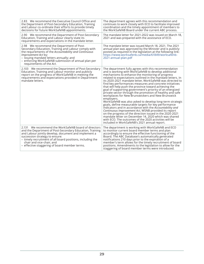| 2.83 We recommend the Executive Council Office and<br>the Department of Post-Secondary Education, Training<br>and Labour co-ordinate their efforts to provide timely<br>decisions for future WorkSafeNB appointments.                                                                                                                                  | The department agrees with this recommendation and<br>continues to work closely with ECO to facilitate improved<br>coordination and the timely appointment of members to<br>the WorkSafeNB Board under the current ABC process.                                                                                                                                                                                                                                                                                                                                                                                                                                                                                                                                                                                                                                                                                                                                                                                                                                                 |
|--------------------------------------------------------------------------------------------------------------------------------------------------------------------------------------------------------------------------------------------------------------------------------------------------------------------------------------------------------|---------------------------------------------------------------------------------------------------------------------------------------------------------------------------------------------------------------------------------------------------------------------------------------------------------------------------------------------------------------------------------------------------------------------------------------------------------------------------------------------------------------------------------------------------------------------------------------------------------------------------------------------------------------------------------------------------------------------------------------------------------------------------------------------------------------------------------------------------------------------------------------------------------------------------------------------------------------------------------------------------------------------------------------------------------------------------------|
| 2.90 We recommend the Department of Post-Secondary<br>Education, Training and Labour clearly state its<br>requirements and expectations in the mandate letter.                                                                                                                                                                                         | The mandate letter for 2021-2022 was issued on March 18,<br>2021 and was prepared with the assistance of ECO.                                                                                                                                                                                                                                                                                                                                                                                                                                                                                                                                                                                                                                                                                                                                                                                                                                                                                                                                                                   |
| 2.98 We recommend the Department of Post-<br>Secondary Education, Training and Labour comply with<br>the requirements of the Accountability and Continuous<br><i>Improvement Act by:</i><br>- issuing mandate letters annually; and<br>- enforcing WorkSafeNB submission of annual plan per<br>requirements of the Act.                                | The mandate letter was issued March 18, 2021. The 2021<br>annual plan was approved by the Minister and is publicly<br>posted as required in the legislation at the following link:<br>https://www.worksafenb.ca/media/61849/worksafenb-<br>2021-annual-plan.pdf                                                                                                                                                                                                                                                                                                                                                                                                                                                                                                                                                                                                                                                                                                                                                                                                                 |
| 2.103 We recommend the Department of Post-Secondary<br>Education, Training and Labour monitor and publicly<br>report on the progress of WorkSafeNB in meeting the<br>requirements and expectations provided in Department<br>mandate letters.                                                                                                          | The department fully agrees with this recommendation<br>and is working with WorkSafeNB to develop additional<br>mechanisms to enhance the monitoring of progress<br>related to expectations outlined in the mandate letters. In<br>its 2020-2021 mandate letter, WorkSafeNB was directed to<br>find key performances measures and concrete initiatives<br>that will help push the province toward achieving the<br>goal of supporting government's priority of an energized<br>private sector through the promotion of healthy and safe<br>workplaces for New Brunswickers and New Brunswick<br>employers.<br>WorkSafeNB was also asked to develop long-term strategic<br>goals, define measurable targets for key performance<br>indicators and in accordance with the Accountability and<br>Continuous Improvement Act, WSNB provided its report<br>on the progress of the direction issued in the 2020-2021<br>mandate letter on December 14, 2020 which was shared<br>with ECO. The outcomes of the 2020 activities will be<br>included in WorkSafeNB's 2021 annual report. |
| 2.131 We recommend the WorkSafeNB board of directors<br>and the Department of Post-Secondary Education, Training<br>and Labour jointly develop, document and implement a<br>succession strategy to ensure:<br>- timely recruitment of all board positions, including the<br>chair and vice-chair, and<br>- effective staggering of board member terms. | The department is working with WorkSafeNB and ECO<br>to monitor current board member terms and plan<br>accordingly to ensure the effective functioning of the<br>Board. The ABC Database's automatically generated<br>notifications 210 days prior to the expiration of a<br>member's term allows for the timely recruitment of board<br>positions. Amendments to the legislation to allow for the<br>staggering of board member terms were introduced.                                                                                                                                                                                                                                                                                                                                                                                                                                                                                                                                                                                                                         |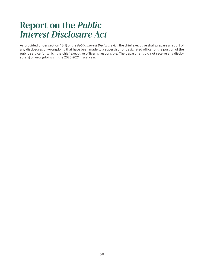## <span id="page-33-0"></span>Report on the *Public Interest Disclosure Act*

As provided under section 18(1) of the *Public Interest Disclosure Act*, the chief executive shall prepare a report of any disclosures of wrongdoing that have been made to a supervisor or designated officer of the portion of the public service for which the chief executive officer is responsible. The department did not receive any disclosure(s) of wrongdoings in the 2020-2021 fiscal year.